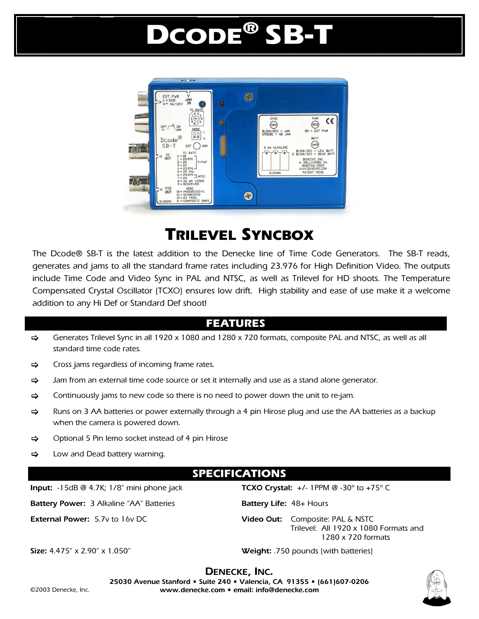# DCODE® SB-T



## TRILEVEL SYNCBOX

The Dcode® SB-T is the latest addition to the Denecke line of Time Code Generators. The SB-T reads, generates and jams to all the standard frame rates including 23.976 for High Definition Video. The outputs include Time Code and Video Sync in PAL and NTSC, as well as Trilevel for HD shoots. The Temperature Compensated Crystal Oscillator (TCXO) ensures low drift. High stability and ease of use make it a welcome addition to any Hi Def or Standard Def shoot!

## FEATURES

- $\Rightarrow$  Generates Trilevel Sync in all 1920 x 1080 and 1280 x 720 formats, composite PAL and NTSC, as well as all standard time code rates.
- $\Rightarrow$  Cross jams regardless of incoming frame rates.
- $\Rightarrow$  Jam from an external time code source or set it internally and use as a stand alone generator.
- $\Rightarrow$  Continuously jams to new code so there is no need to power down the unit to re-jam.
- $\Rightarrow$  Runs on 3 AA batteries or power externally through a 4 pin Hirose plug and use the AA batteries as a backup when the camera is powered down.
- $\Rightarrow$  Optional 5 Pin lemo socket instead of 4 pin Hirose
- $\Rightarrow$  Low and Dead battery warning.

### SPECIFICATIONS

**Battery Power:** 3 Alkaline "AA" Batteries **Battery Life:** 48+ Hours

**Input:** -15dB @ 4.7K; 1/8" mini phone jack **TCXO Crystal:** +/- 1PPM @ -30º to +75º C

**External Power:** 5.7v to 16v DC **Video Out:** Composite: PAL & NSTC Trilevel: All 1920 x 1080 Formats and 1280 x 720 formats

**Size:** 4.475" x 2.90" x 1.050" **Weight:** .750 pounds (with batteries)



**DENECKE, INC.**<br>25030 Avenue Stanford • Suite 240 • Valencia, CA 91355 • (661)607-0206 **www.denecke.com • email: info@denecke.com**